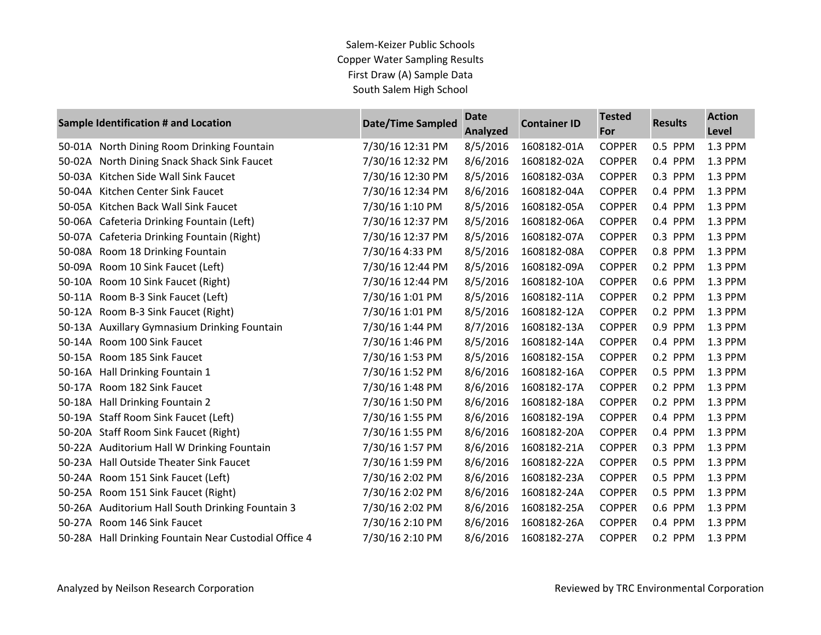|        | Sample Identification # and Location                  | <b>Date/Time Sampled</b> | <b>Date</b><br>Analyzed | <b>Container ID</b> | <b>Tested</b><br>For | <b>Results</b> | <b>Action</b><br>Level |
|--------|-------------------------------------------------------|--------------------------|-------------------------|---------------------|----------------------|----------------|------------------------|
| 50-01A | North Dining Room Drinking Fountain                   | 7/30/16 12:31 PM         | 8/5/2016                | 1608182-01A         | <b>COPPER</b>        | 0.5 PPM        | 1.3 PPM                |
| 50-02A | North Dining Snack Shack Sink Faucet                  | 7/30/16 12:32 PM         | 8/6/2016                | 1608182-02A         | <b>COPPER</b>        | 0.4 PPM        | 1.3 PPM                |
| 50-03A | Kitchen Side Wall Sink Faucet                         | 7/30/16 12:30 PM         | 8/5/2016                | 1608182-03A         | <b>COPPER</b>        | 0.3 PPM        | 1.3 PPM                |
| 50-04A | Kitchen Center Sink Faucet                            | 7/30/16 12:34 PM         | 8/6/2016                | 1608182-04A         | <b>COPPER</b>        | 0.4 PPM        | 1.3 PPM                |
| 50-05A | Kitchen Back Wall Sink Faucet                         | 7/30/16 1:10 PM          | 8/5/2016                | 1608182-05A         | <b>COPPER</b>        | 0.4 PPM        | 1.3 PPM                |
| 50-06A | Cafeteria Drinking Fountain (Left)                    | 7/30/16 12:37 PM         | 8/5/2016                | 1608182-06A         | <b>COPPER</b>        | 0.4 PPM        | 1.3 PPM                |
| 50-07A | Cafeteria Drinking Fountain (Right)                   | 7/30/16 12:37 PM         | 8/5/2016                | 1608182-07A         | <b>COPPER</b>        | 0.3 PPM        | 1.3 PPM                |
| 50-08A | Room 18 Drinking Fountain                             | 7/30/16 4:33 PM          | 8/5/2016                | 1608182-08A         | <b>COPPER</b>        | 0.8 PPM        | 1.3 PPM                |
| 50-09A | Room 10 Sink Faucet (Left)                            | 7/30/16 12:44 PM         | 8/5/2016                | 1608182-09A         | <b>COPPER</b>        | 0.2 PPM        | 1.3 PPM                |
| 50-10A | Room 10 Sink Faucet (Right)                           | 7/30/16 12:44 PM         | 8/5/2016                | 1608182-10A         | <b>COPPER</b>        | 0.6 PPM        | 1.3 PPM                |
| 50-11A | Room B-3 Sink Faucet (Left)                           | 7/30/16 1:01 PM          | 8/5/2016                | 1608182-11A         | <b>COPPER</b>        | 0.2 PPM        | 1.3 PPM                |
|        | 50-12A Room B-3 Sink Faucet (Right)                   | 7/30/16 1:01 PM          | 8/5/2016                | 1608182-12A         | <b>COPPER</b>        | 0.2 PPM        | 1.3 PPM                |
|        | 50-13A Auxillary Gymnasium Drinking Fountain          | 7/30/16 1:44 PM          | 8/7/2016                | 1608182-13A         | <b>COPPER</b>        | 0.9 PPM        | 1.3 PPM                |
|        | 50-14A Room 100 Sink Faucet                           | 7/30/16 1:46 PM          | 8/5/2016                | 1608182-14A         | <b>COPPER</b>        | 0.4 PPM        | 1.3 PPM                |
| 50-15A | Room 185 Sink Faucet                                  | 7/30/16 1:53 PM          | 8/5/2016                | 1608182-15A         | <b>COPPER</b>        | 0.2 PPM        | 1.3 PPM                |
| 50-16A | Hall Drinking Fountain 1                              | 7/30/16 1:52 PM          | 8/6/2016                | 1608182-16A         | <b>COPPER</b>        | 0.5 PPM        | 1.3 PPM                |
| 50-17A | Room 182 Sink Faucet                                  | 7/30/16 1:48 PM          | 8/6/2016                | 1608182-17A         | <b>COPPER</b>        | 0.2 PPM        | 1.3 PPM                |
| 50-18A | Hall Drinking Fountain 2                              | 7/30/16 1:50 PM          | 8/6/2016                | 1608182-18A         | <b>COPPER</b>        | 0.2 PPM        | 1.3 PPM                |
|        | 50-19A Staff Room Sink Faucet (Left)                  | 7/30/16 1:55 PM          | 8/6/2016                | 1608182-19A         | <b>COPPER</b>        | 0.4 PPM        | 1.3 PPM                |
|        | 50-20A Staff Room Sink Faucet (Right)                 | 7/30/16 1:55 PM          | 8/6/2016                | 1608182-20A         | <b>COPPER</b>        | 0.4 PPM        | 1.3 PPM                |
|        | 50-22A Auditorium Hall W Drinking Fountain            | 7/30/16 1:57 PM          | 8/6/2016                | 1608182-21A         | <b>COPPER</b>        | 0.3 PPM        | 1.3 PPM                |
|        | 50-23A Hall Outside Theater Sink Faucet               | 7/30/16 1:59 PM          | 8/6/2016                | 1608182-22A         | <b>COPPER</b>        | 0.5 PPM        | 1.3 PPM                |
| 50-24A | Room 151 Sink Faucet (Left)                           | 7/30/16 2:02 PM          | 8/6/2016                | 1608182-23A         | <b>COPPER</b>        | 0.5 PPM        | 1.3 PPM                |
|        | 50-25A Room 151 Sink Faucet (Right)                   | 7/30/16 2:02 PM          | 8/6/2016                | 1608182-24A         | <b>COPPER</b>        | 0.5 PPM        | 1.3 PPM                |
|        | 50-26A Auditorium Hall South Drinking Fountain 3      | 7/30/16 2:02 PM          | 8/6/2016                | 1608182-25A         | <b>COPPER</b>        | 0.6 PPM        | 1.3 PPM                |
|        | 50-27A Room 146 Sink Faucet                           | 7/30/16 2:10 PM          | 8/6/2016                | 1608182-26A         | <b>COPPER</b>        | 0.4 PPM        | 1.3 PPM                |
|        | 50-28A Hall Drinking Fountain Near Custodial Office 4 | 7/30/16 2:10 PM          | 8/6/2016                | 1608182-27A         | <b>COPPER</b>        | 0.2 PPM        | 1.3 PPM                |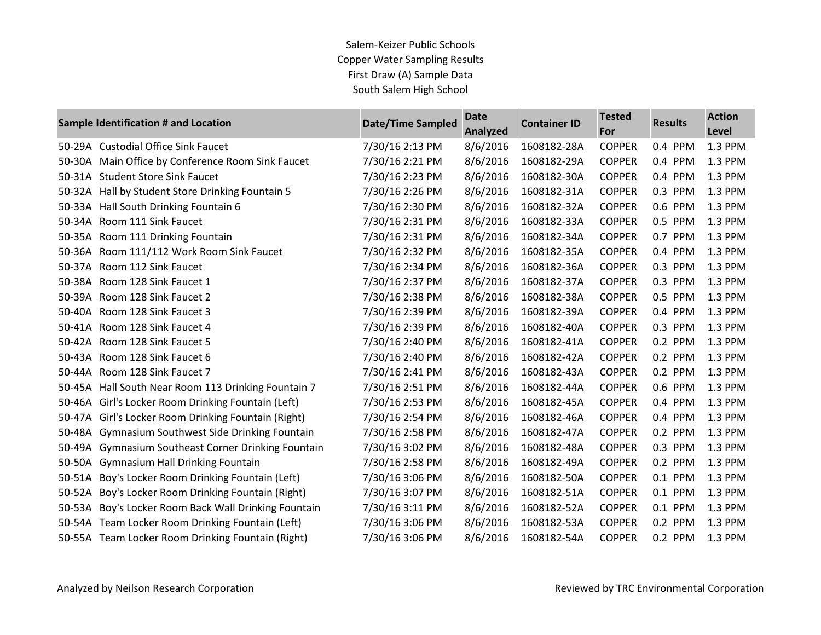| <b>Sample Identification # and Location</b> |                                                     | <b>Date/Time Sampled</b> | <b>Date</b><br><b>Analyzed</b> | <b>Container ID</b> | <b>Tested</b><br>For | <b>Results</b> | <b>Action</b><br>Level |
|---------------------------------------------|-----------------------------------------------------|--------------------------|--------------------------------|---------------------|----------------------|----------------|------------------------|
| 50-29A                                      | <b>Custodial Office Sink Faucet</b>                 | 7/30/16 2:13 PM          | 8/6/2016                       | 1608182-28A         | <b>COPPER</b>        | 0.4 PPM        | 1.3 PPM                |
| 50-30A                                      | Main Office by Conference Room Sink Faucet          | 7/30/16 2:21 PM          | 8/6/2016                       | 1608182-29A         | <b>COPPER</b>        | 0.4 PPM        | 1.3 PPM                |
| 50-31A                                      | <b>Student Store Sink Faucet</b>                    | 7/30/16 2:23 PM          | 8/6/2016                       | 1608182-30A         | <b>COPPER</b>        | 0.4 PPM        | 1.3 PPM                |
| 50-32A                                      | Hall by Student Store Drinking Fountain 5           | 7/30/16 2:26 PM          | 8/6/2016                       | 1608182-31A         | <b>COPPER</b>        | 0.3 PPM        | 1.3 PPM                |
| 50-33A                                      | Hall South Drinking Fountain 6                      | 7/30/16 2:30 PM          | 8/6/2016                       | 1608182-32A         | <b>COPPER</b>        | 0.6 PPM        | 1.3 PPM                |
| 50-34A                                      | Room 111 Sink Faucet                                | 7/30/16 2:31 PM          | 8/6/2016                       | 1608182-33A         | <b>COPPER</b>        | 0.5 PPM        | 1.3 PPM                |
| 50-35A                                      | Room 111 Drinking Fountain                          | 7/30/16 2:31 PM          | 8/6/2016                       | 1608182-34A         | <b>COPPER</b>        | 0.7 PPM        | 1.3 PPM                |
| 50-36A                                      | Room 111/112 Work Room Sink Faucet                  | 7/30/16 2:32 PM          | 8/6/2016                       | 1608182-35A         | <b>COPPER</b>        | 0.4 PPM        | 1.3 PPM                |
| 50-37A                                      | Room 112 Sink Faucet                                | 7/30/16 2:34 PM          | 8/6/2016                       | 1608182-36A         | <b>COPPER</b>        | 0.3 PPM        | 1.3 PPM                |
| 50-38A                                      | Room 128 Sink Faucet 1                              | 7/30/16 2:37 PM          | 8/6/2016                       | 1608182-37A         | <b>COPPER</b>        | 0.3 PPM        | 1.3 PPM                |
| 50-39A                                      | Room 128 Sink Faucet 2                              | 7/30/16 2:38 PM          | 8/6/2016                       | 1608182-38A         | <b>COPPER</b>        | 0.5 PPM        | 1.3 PPM                |
| 50-40A                                      | Room 128 Sink Faucet 3                              | 7/30/16 2:39 PM          | 8/6/2016                       | 1608182-39A         | <b>COPPER</b>        | 0.4 PPM        | 1.3 PPM                |
| 50-41A                                      | Room 128 Sink Faucet 4                              | 7/30/16 2:39 PM          | 8/6/2016                       | 1608182-40A         | <b>COPPER</b>        | 0.3 PPM        | 1.3 PPM                |
| 50-42A                                      | Room 128 Sink Faucet 5                              | 7/30/16 2:40 PM          | 8/6/2016                       | 1608182-41A         | <b>COPPER</b>        | 0.2 PPM        | 1.3 PPM                |
| 50-43A                                      | Room 128 Sink Faucet 6                              | 7/30/16 2:40 PM          | 8/6/2016                       | 1608182-42A         | <b>COPPER</b>        | 0.2 PPM        | 1.3 PPM                |
| 50-44A                                      | Room 128 Sink Faucet 7                              | 7/30/16 2:41 PM          | 8/6/2016                       | 1608182-43A         | <b>COPPER</b>        | 0.2 PPM        | 1.3 PPM                |
| 50-45A                                      | Hall South Near Room 113 Drinking Fountain 7        | 7/30/16 2:51 PM          | 8/6/2016                       | 1608182-44A         | <b>COPPER</b>        | 0.6 PPM        | 1.3 PPM                |
| 50-46A                                      | Girl's Locker Room Drinking Fountain (Left)         | 7/30/16 2:53 PM          | 8/6/2016                       | 1608182-45A         | <b>COPPER</b>        | 0.4 PPM        | 1.3 PPM                |
| 50-47A                                      | Girl's Locker Room Drinking Fountain (Right)        | 7/30/16 2:54 PM          | 8/6/2016                       | 1608182-46A         | <b>COPPER</b>        | 0.4 PPM        | 1.3 PPM                |
| 50-48A                                      | Gymnasium Southwest Side Drinking Fountain          | 7/30/16 2:58 PM          | 8/6/2016                       | 1608182-47A         | <b>COPPER</b>        | 0.2 PPM        | 1.3 PPM                |
| 50-49A                                      | <b>Gymnasium Southeast Corner Drinking Fountain</b> | 7/30/16 3:02 PM          | 8/6/2016                       | 1608182-48A         | <b>COPPER</b>        | 0.3 PPM        | 1.3 PPM                |
| 50-50A                                      | <b>Gymnasium Hall Drinking Fountain</b>             | 7/30/16 2:58 PM          | 8/6/2016                       | 1608182-49A         | <b>COPPER</b>        | 0.2 PPM        | 1.3 PPM                |
| 50-51A                                      | Boy's Locker Room Drinking Fountain (Left)          | 7/30/16 3:06 PM          | 8/6/2016                       | 1608182-50A         | <b>COPPER</b>        | 0.1 PPM        | 1.3 PPM                |
| 50-52A                                      | Boy's Locker Room Drinking Fountain (Right)         | 7/30/16 3:07 PM          | 8/6/2016                       | 1608182-51A         | <b>COPPER</b>        | 0.1 PPM        | 1.3 PPM                |
| 50-53A                                      | Boy's Locker Room Back Wall Drinking Fountain       | 7/30/16 3:11 PM          | 8/6/2016                       | 1608182-52A         | <b>COPPER</b>        | 0.1 PPM        | 1.3 PPM                |
|                                             | 50-54A Team Locker Room Drinking Fountain (Left)    | 7/30/16 3:06 PM          | 8/6/2016                       | 1608182-53A         | <b>COPPER</b>        | 0.2 PPM        | 1.3 PPM                |
|                                             | 50-55A Team Locker Room Drinking Fountain (Right)   | 7/30/16 3:06 PM          | 8/6/2016                       | 1608182-54A         | <b>COPPER</b>        | 0.2 PPM        | 1.3 PPM                |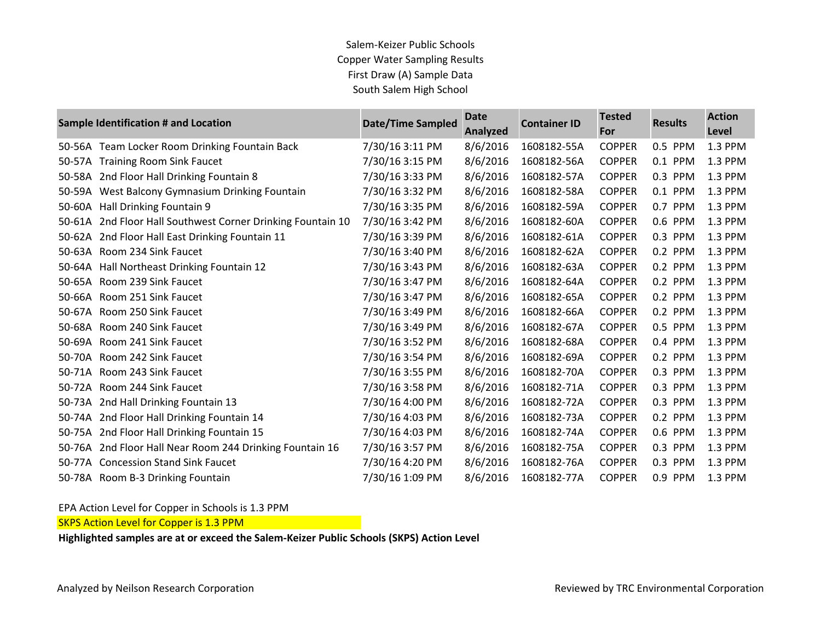| <b>Sample Identification # and Location</b> |                                                      | <b>Date/Time Sampled</b> | <b>Date</b><br>Analyzed | <b>Container ID</b> | <b>Tested</b><br>For | <b>Results</b> | <b>Action</b><br>Level |
|---------------------------------------------|------------------------------------------------------|--------------------------|-------------------------|---------------------|----------------------|----------------|------------------------|
|                                             | 50-56A Team Locker Room Drinking Fountain Back       | 7/30/16 3:11 PM          | 8/6/2016                | 1608182-55A         | <b>COPPER</b>        | 0.5 PPM        | 1.3 PPM                |
| 50-57A                                      | <b>Training Room Sink Faucet</b>                     | 7/30/16 3:15 PM          | 8/6/2016                | 1608182-56A         | <b>COPPER</b>        | 0.1 PPM        | 1.3 PPM                |
| 50-58A                                      | 2nd Floor Hall Drinking Fountain 8                   | 7/30/16 3:33 PM          | 8/6/2016                | 1608182-57A         | <b>COPPER</b>        | 0.3 PPM        | 1.3 PPM                |
| 50-59A                                      | West Balcony Gymnasium Drinking Fountain             | 7/30/16 3:32 PM          | 8/6/2016                | 1608182-58A         | <b>COPPER</b>        | 0.1 PPM        | 1.3 PPM                |
| 50-60A                                      | Hall Drinking Fountain 9                             | 7/30/16 3:35 PM          | 8/6/2016                | 1608182-59A         | <b>COPPER</b>        | 0.7 PPM        | 1.3 PPM                |
| 50-61A                                      | 2nd Floor Hall Southwest Corner Drinking Fountain 10 | 7/30/16 3:42 PM          | 8/6/2016                | 1608182-60A         | <b>COPPER</b>        | 0.6 PPM        | 1.3 PPM                |
| 50-62A                                      | 2nd Floor Hall East Drinking Fountain 11             | 7/30/16 3:39 PM          | 8/6/2016                | 1608182-61A         | <b>COPPER</b>        | 0.3 PPM        | 1.3 PPM                |
| 50-63A                                      | Room 234 Sink Faucet                                 | 7/30/16 3:40 PM          | 8/6/2016                | 1608182-62A         | <b>COPPER</b>        | 0.2 PPM        | 1.3 PPM                |
| 50-64A                                      | Hall Northeast Drinking Fountain 12                  | 7/30/16 3:43 PM          | 8/6/2016                | 1608182-63A         | <b>COPPER</b>        | 0.2 PPM        | 1.3 PPM                |
| 50-65A                                      | Room 239 Sink Faucet                                 | 7/30/16 3:47 PM          | 8/6/2016                | 1608182-64A         | <b>COPPER</b>        | 0.2 PPM        | 1.3 PPM                |
| 50-66A                                      | Room 251 Sink Faucet                                 | 7/30/16 3:47 PM          | 8/6/2016                | 1608182-65A         | <b>COPPER</b>        | 0.2 PPM        | 1.3 PPM                |
| 50-67A                                      | Room 250 Sink Faucet                                 | 7/30/16 3:49 PM          | 8/6/2016                | 1608182-66A         | <b>COPPER</b>        | 0.2 PPM        | 1.3 PPM                |
| 50-68A                                      | Room 240 Sink Faucet                                 | 7/30/16 3:49 PM          | 8/6/2016                | 1608182-67A         | <b>COPPER</b>        | 0.5 PPM        | 1.3 PPM                |
| 50-69A                                      | Room 241 Sink Faucet                                 | 7/30/16 3:52 PM          | 8/6/2016                | 1608182-68A         | <b>COPPER</b>        | 0.4 PPM        | 1.3 PPM                |
| 50-70A                                      | Room 242 Sink Faucet                                 | 7/30/16 3:54 PM          | 8/6/2016                | 1608182-69A         | <b>COPPER</b>        | 0.2 PPM        | 1.3 PPM                |
| 50-71A                                      | Room 243 Sink Faucet                                 | 7/30/16 3:55 PM          | 8/6/2016                | 1608182-70A         | <b>COPPER</b>        | 0.3 PPM        | 1.3 PPM                |
| 50-72A                                      | Room 244 Sink Faucet                                 | 7/30/16 3:58 PM          | 8/6/2016                | 1608182-71A         | <b>COPPER</b>        | 0.3 PPM        | 1.3 PPM                |
| 50-73A                                      | 2nd Hall Drinking Fountain 13                        | 7/30/16 4:00 PM          | 8/6/2016                | 1608182-72A         | <b>COPPER</b>        | 0.3 PPM        | 1.3 PPM                |
| 50-74A                                      | 2nd Floor Hall Drinking Fountain 14                  | 7/30/16 4:03 PM          | 8/6/2016                | 1608182-73A         | <b>COPPER</b>        | 0.2 PPM        | 1.3 PPM                |
| 50-75A                                      | 2nd Floor Hall Drinking Fountain 15                  | 7/30/16 4:03 PM          | 8/6/2016                | 1608182-74A         | <b>COPPER</b>        | 0.6 PPM        | 1.3 PPM                |
| 50-76A                                      | 2nd Floor Hall Near Room 244 Drinking Fountain 16    | 7/30/16 3:57 PM          | 8/6/2016                | 1608182-75A         | <b>COPPER</b>        | 0.3 PPM        | 1.3 PPM                |
| 50-77A                                      | <b>Concession Stand Sink Faucet</b>                  | 7/30/16 4:20 PM          | 8/6/2016                | 1608182-76A         | <b>COPPER</b>        | 0.3 PPM        | 1.3 PPM                |
|                                             | 50-78A Room B-3 Drinking Fountain                    | 7/30/16 1:09 PM          | 8/6/2016                | 1608182-77A         | <b>COPPER</b>        | 0.9 PPM        | 1.3 PPM                |

EPA Action Level for Copper in Schools is 1.3 PPM

SKPS Action Level for Copper is 1.3 PPM

**Highlighted samples are at or exceed the Salem-Keizer Public Schools (SKPS) Action Level**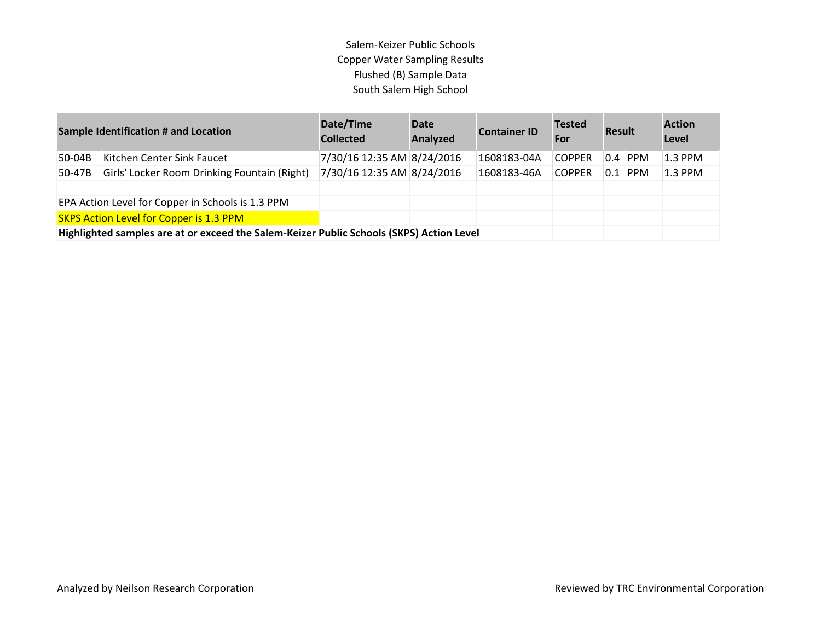| <b>Sample Identification # and Location</b>       |                                                                                          | Date/Time<br><b>Collected</b> | <b>Date</b><br>Analyzed | <b>Container ID</b> | <b>Tested</b><br>For | <b>Result</b> | <b>Action</b><br>Level |
|---------------------------------------------------|------------------------------------------------------------------------------------------|-------------------------------|-------------------------|---------------------|----------------------|---------------|------------------------|
| $50-04B$                                          | Kitchen Center Sink Faucet                                                               | 7/30/16 12:35 AM 8/24/2016    |                         | 1608183-04A         | <b>COPPER</b>        | $0.4$ PPM     | $1.3$ PPM              |
| 50-47B                                            | Girls' Locker Room Drinking Fountain (Right)                                             | 7/30/16 12:35 AM 8/24/2016    |                         | 1608183-46A         | <b>COPPER</b>        | $0.1$ PPM     | $1.3$ PPM              |
|                                                   |                                                                                          |                               |                         |                     |                      |               |                        |
| EPA Action Level for Copper in Schools is 1.3 PPM |                                                                                          |                               |                         |                     |                      |               |                        |
|                                                   | <b>SKPS Action Level for Copper is 1.3 PPM</b>                                           |                               |                         |                     |                      |               |                        |
|                                                   | Highlighted samples are at or exceed the Salem-Keizer Public Schools (SKPS) Action Level |                               |                         |                     |                      |               |                        |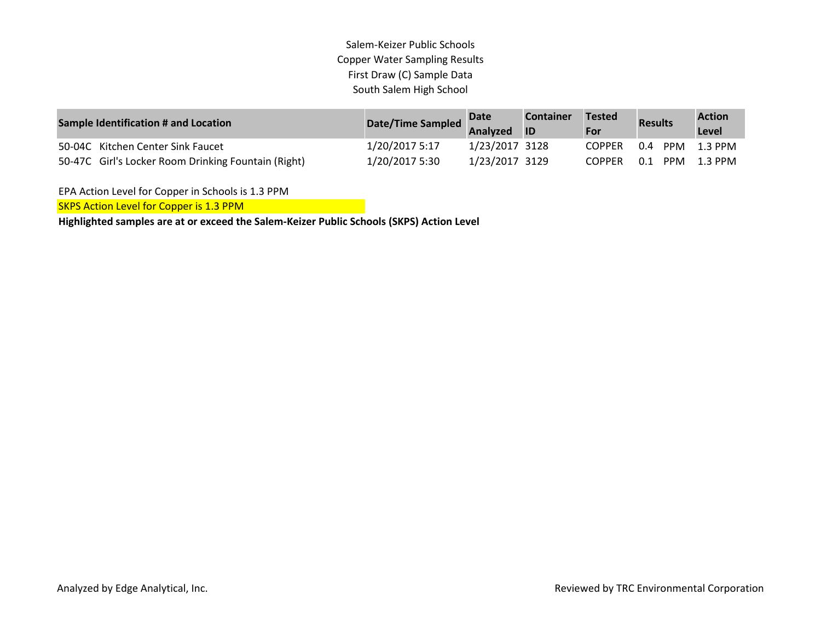| <b>Sample Identification # and Location</b>         | Date/Time Sampled | <b>Date</b><br>Analyzed | <b>Container</b><br><b>ID</b> | Tested<br>For | <b>Results</b>    | <b>Action</b><br>Level |
|-----------------------------------------------------|-------------------|-------------------------|-------------------------------|---------------|-------------------|------------------------|
| 50-04C Kitchen Center Sink Faucet                   | 1/20/2017 5:17    | 1/23/2017 3128          |                               | <b>COPPER</b> | 0.4<br>PPM        | 1.3 PPM                |
| 50-47C Girl's Locker Room Drinking Fountain (Right) | 1/20/2017 5:30    | 1/23/2017 3129          |                               | <b>COPPER</b> | 0.1<br><b>PPM</b> | 1.3 PPM                |

EPA Action Level for Copper in Schools is 1.3 PPM

SKPS Action Level for Copper is 1.3 PPM

**Highlighted samples are at or exceed the Salem-Keizer Public Schools (SKPS) Action Level**